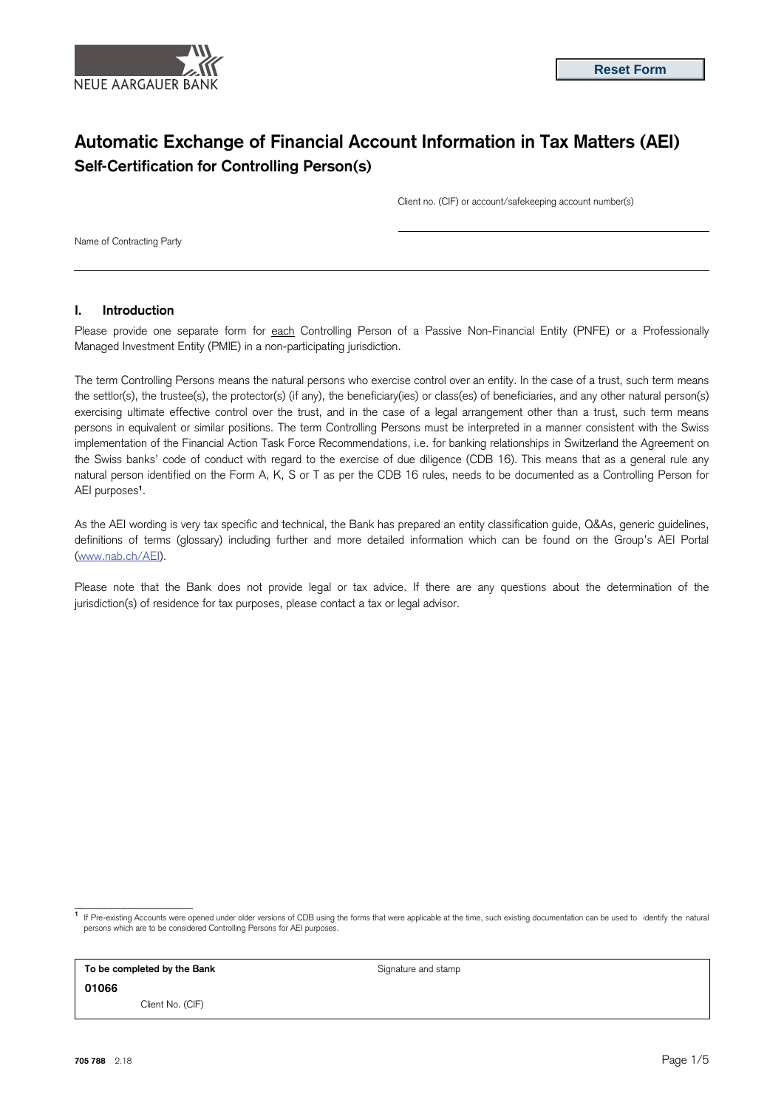

# **Automatic Exchange of Financial Account Information in Tax Matters (AEI) Self-Certification for Controlling Person(s)**

Client no. (CIF) or account/safekeeping account number(s)

Name of Contracting Party

# **I. Introduction**

Please provide one separate form for each Controlling Person of a Passive Non-Financial Entity (PNFE) or a Professionally Managed Investment Entity (PMIE) in a non-participating jurisdiction.

The term Controlling Persons means the natural persons who exercise control over an entity. In the case of a trust, such term means the settlor(s), the trustee(s), the protector(s) (if any), the beneficiary(ies) or class(es) of beneficiaries, and any other natural person(s) exercising ultimate effective control over the trust, and in the case of a legal arrangement other than a trust, such term means persons in equivalent or similar positions. The term Controlling Persons must be interpreted in a manner consistent with the Swiss implementation of the Financial Action Task Force Recommendations, i.e. for banking relationships in Switzerland the Agreement on the Swiss banks' code of conduct with regard to the exercise of due diligence (CDB 16). This means that as a general rule any natural person identified on the Form A, K, S or T as per the CDB 16 rules, needs to be documented as a Controlling Person for AEI purposes**<sup>1</sup>**.

As the AEI wording is very tax specific and technical, the Bank has prepared an entity classification guide, Q&As, generic guidelines, definitions of terms (glossary) including further and more detailed information which can be found on the Group's AEI Portal [\(www.nab.ch/AEI\).](http://www.credit-suisse.com/AEI) 

Please note that the Bank does not provide legal or tax advice. If there are any questions about the determination of the jurisdiction(s) of residence for tax purposes, please contact a tax or legal advisor.

**1** If Pre-existing Accounts were opened under older versions of CDB using the forms that were applicable at the time, such existing documentation can be used to identify the natural persons which are to be considered Controlling Persons for AEI purposes.

**To be completed by the Bank** Signature and stamp **01066**  Client No. (CIF)

\_\_\_\_\_\_\_\_\_\_\_\_\_\_\_\_\_\_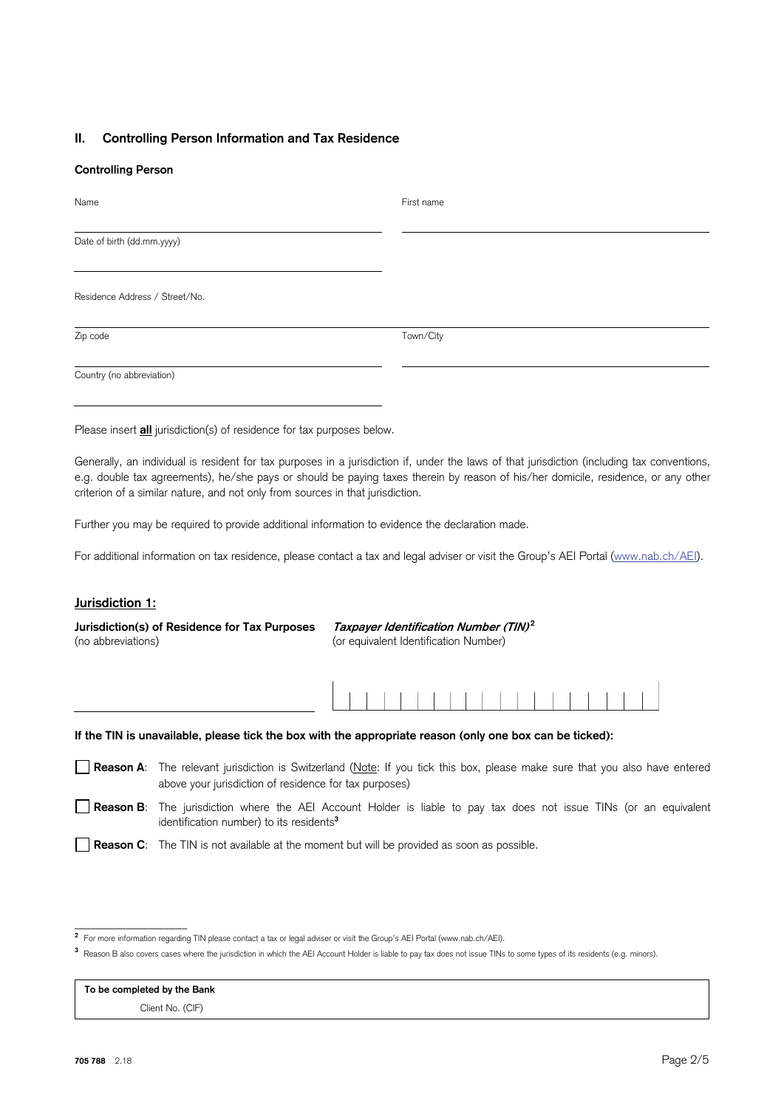## **II. Controlling Person Information and Tax Residence**

#### **Controlling Person**

| Name                           | First name |
|--------------------------------|------------|
| Date of birth (dd.mm.yyyy)     |            |
| Residence Address / Street/No. |            |
| Zip code                       | Town/City  |
| Country (no abbreviation)      |            |

Please insert **all** jurisdiction(s) of residence for tax purposes below.

Generally, an individual is resident for tax purposes in a jurisdiction if, under the laws of that jurisdiction (including tax conventions, e.g. double tax agreements), he/she pays or should be paying taxes therein by reason of his/her domicile, residence, or any other criterion of a similar nature, and not only from sources in that jurisdiction.

Further you may be required to provide additional information to evidence the declaration made.

For additional information on tax residence, please contact a tax and legal adviser or visit the Group's AEI Portal (www.nab.ch/AEI).

#### **Jurisdiction 1:**

**Jurisdiction(s) of Residence for Tax Purposes Taxpayer Identification Number (TIN)<sup>2</sup>** (no abbreviations) (or equivalent Identification Number)

|  |  |  |  |  |  |  |  | . |  |  |
|--|--|--|--|--|--|--|--|---|--|--|
|  |  |  |  |  |  |  |  |   |  |  |
|  |  |  |  |  |  |  |  |   |  |  |
|  |  |  |  |  |  |  |  |   |  |  |

## **If the TIN is unavailable, please tick the box with the appropriate reason (only one box can be ticked):**

- **Reason A**: The relevant jurisdiction is Switzerland (Note: If you tick this box, please make sure that you also have entered above your jurisdiction of residence for tax purposes)
- **Reason B**: The jurisdiction where the AEI Account Holder is liable to pay tax does not issue TINs (or an equivalent identification number) to its residents**<sup>3</sup>**
- **Reason C**: The TIN is not available at the moment but will be provided as soon as possible.

**To be completed by the Bank** Client No. (CIF)

\_\_\_\_\_\_\_\_\_\_\_\_\_\_\_\_\_\_\_

**<sup>2</sup>** For more information regarding TIN please contact a tax or legal adviser or visit the Group's AEI Portal (www.nab.ch/AEI).

**<sup>3</sup>** Reason B also covers cases where the jurisdiction in which the AEI Account Holder is liable to pay tax does not issue TINs to some types of its residents (e.g. minors).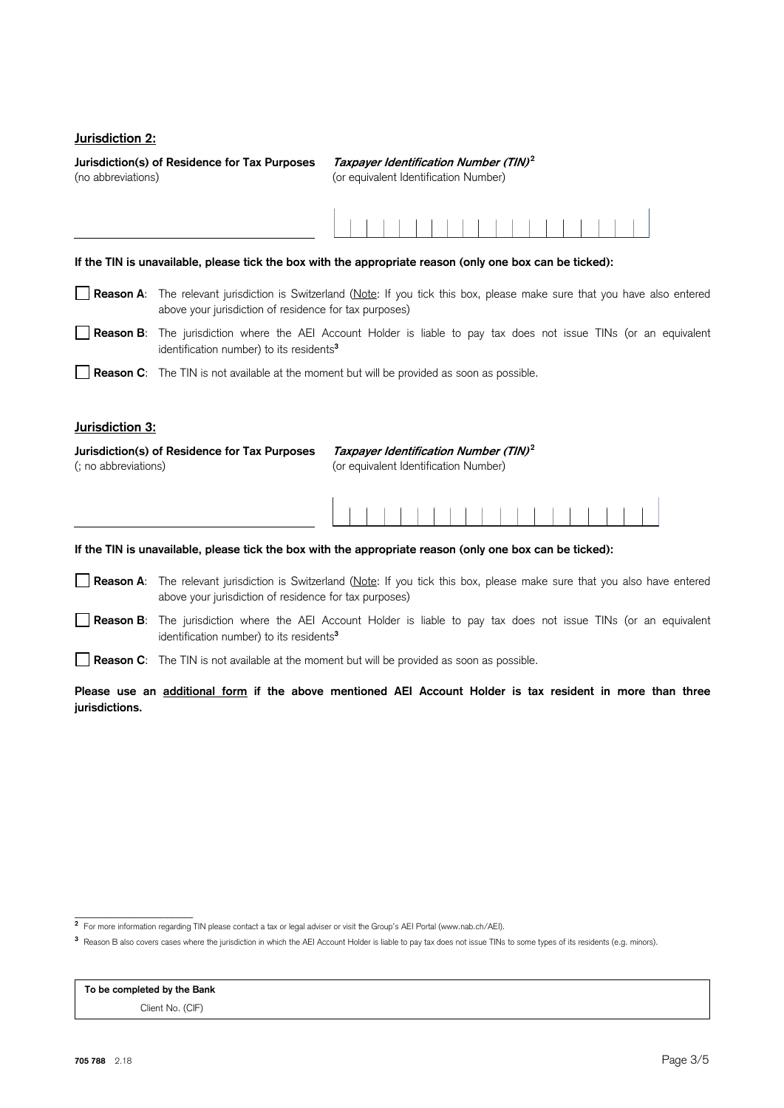# **Jurisdiction 2:**

**Jurisdiction(s) of Residence for Tax Purposes Taxpayer Identification Number (TIN)<sup>2</sup>** (no abbreviations) (or equivalent Identification Number)

| If the TIN is unavailable, please tick the box with the appropriate reason (only one box can be ticked):                                                            |                                                                                                                                                                                              |  |  |  |  |  |  |  |
|---------------------------------------------------------------------------------------------------------------------------------------------------------------------|----------------------------------------------------------------------------------------------------------------------------------------------------------------------------------------------|--|--|--|--|--|--|--|
|                                                                                                                                                                     | <b>Reason A:</b> The relevant jurisdiction is Switzerland (Note: If you tick this box, please make sure that you have also entered<br>above your jurisdiction of residence for tax purposes) |  |  |  |  |  |  |  |
|                                                                                                                                                                     | Reason B: The jurisdiction where the AEI Account Holder is liable to pay tax does not issue TINs (or an equivalent<br>identification number) to its residents <sup>3</sup>                   |  |  |  |  |  |  |  |
|                                                                                                                                                                     | <b>Reason C:</b> The TIN is not available at the moment but will be provided as soon as possible.                                                                                            |  |  |  |  |  |  |  |
| Jurisdiction 3:                                                                                                                                                     |                                                                                                                                                                                              |  |  |  |  |  |  |  |
| Taxpayer Identification Number (TIN) <sup>2</sup><br>Jurisdiction(s) of Residence for Tax Purposes<br>(or equivalent Identification Number)<br>(; no abbreviations) |                                                                                                                                                                                              |  |  |  |  |  |  |  |

#### **If the TIN is unavailable, please tick the box with the appropriate reason (only one box can be ticked):**

- **Reason A**: The relevant jurisdiction is Switzerland (Note: If you tick this box, please make sure that you also have entered above your jurisdiction of residence for tax purposes)
- **Reason B**: The jurisdiction where the AEI Account Holder is liable to pay tax does not issue TINs (or an equivalent identification number) to its residents**<sup>3</sup>**
- **Reason C**: The TIN is not available at the moment but will be provided as soon as possible.

**Please use an additional form if the above mentioned AEI Account Holder is tax resident in more than three jurisdictions.** 

**To be completed by the Bank**

Client No. (CIF)

<sup>&</sup>lt;u>.</u><br>2 For more information regarding TIN please contact a tax or legal adviser or visit the Group's AEI Portal (www.nab.ch/AEI).

**<sup>3</sup>** Reason B also covers cases where the jurisdiction in which the AEI Account Holder is liable to pay tax does not issue TINs to some types of its residents (e.g. minors).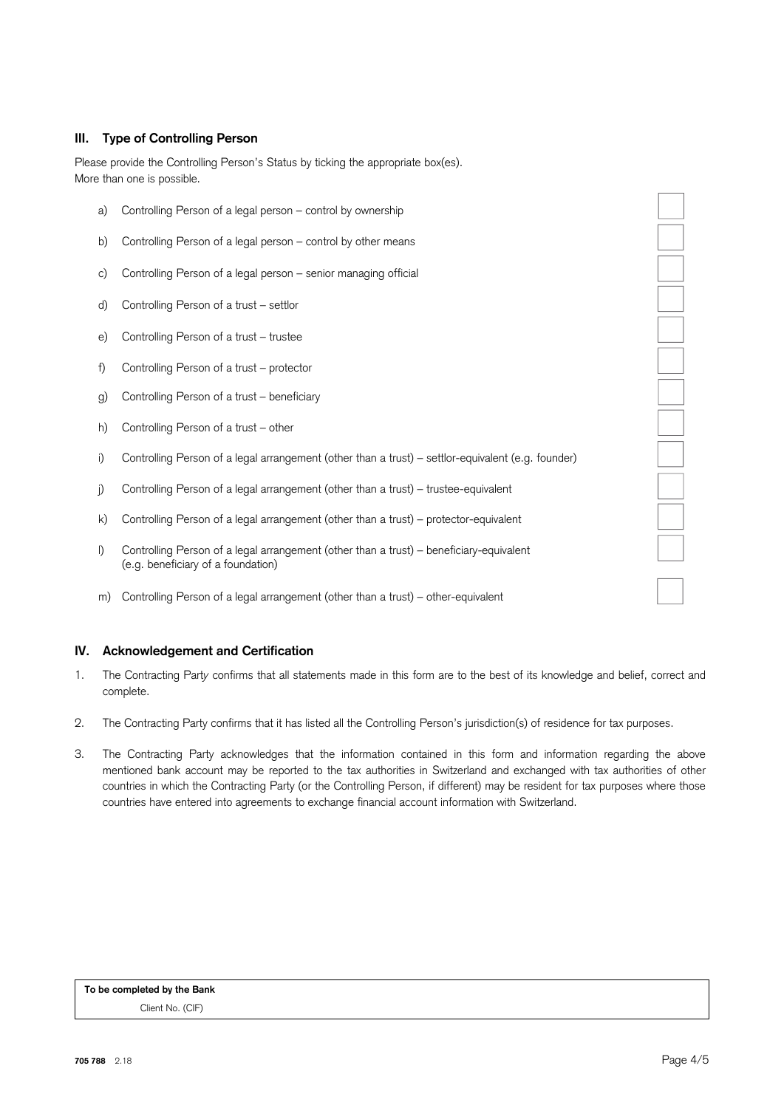# **III. Type of Controlling Person**

Please provide the Controlling Person's Status by ticking the appropriate box(es). More than one is possible.

- a) Controlling Person of a legal person control by ownership b) Controlling Person of a legal person – control by other means c) Controlling Person of a legal person – senior managing official d) Controlling Person of a trust – settlor e) Controlling Person of a trust – trustee f) Controlling Person of a trust – protector g) Controlling Person of a trust – beneficiary h) Controlling Person of a trust – other i) Controlling Person of a legal arrangement (other than a trust) – settlor-equivalent (e.g. founder) j) Controlling Person of a legal arrangement (other than a trust) – trustee-equivalent k) Controlling Person of a legal arrangement (other than a trust) – protector-equivalent l) Controlling Person of a legal arrangement (other than a trust) – beneficiary-equivalent (e.g. beneficiary of a foundation)
- m) Controlling Person of a legal arrangement (other than a trust) other-equivalent

## **IV. Acknowledgement and Certification**

- 1. The Contracting Part*y* confirms that all statements made in this form are to the best of its knowledge and belief, correct and complete.
- 2. The Contracting Party confirms that it has listed all the Controlling Person's jurisdiction(s) of residence for tax purposes.
- 3. The Contracting Party acknowledges that the information contained in this form and information regarding the above mentioned bank account may be reported to the tax authorities in Switzerland and exchanged with tax authorities of other countries in which the Contracting Party (or the Controlling Person, if different) may be resident for tax purposes where those countries have entered into agreements to exchange financial account information with Switzerland.